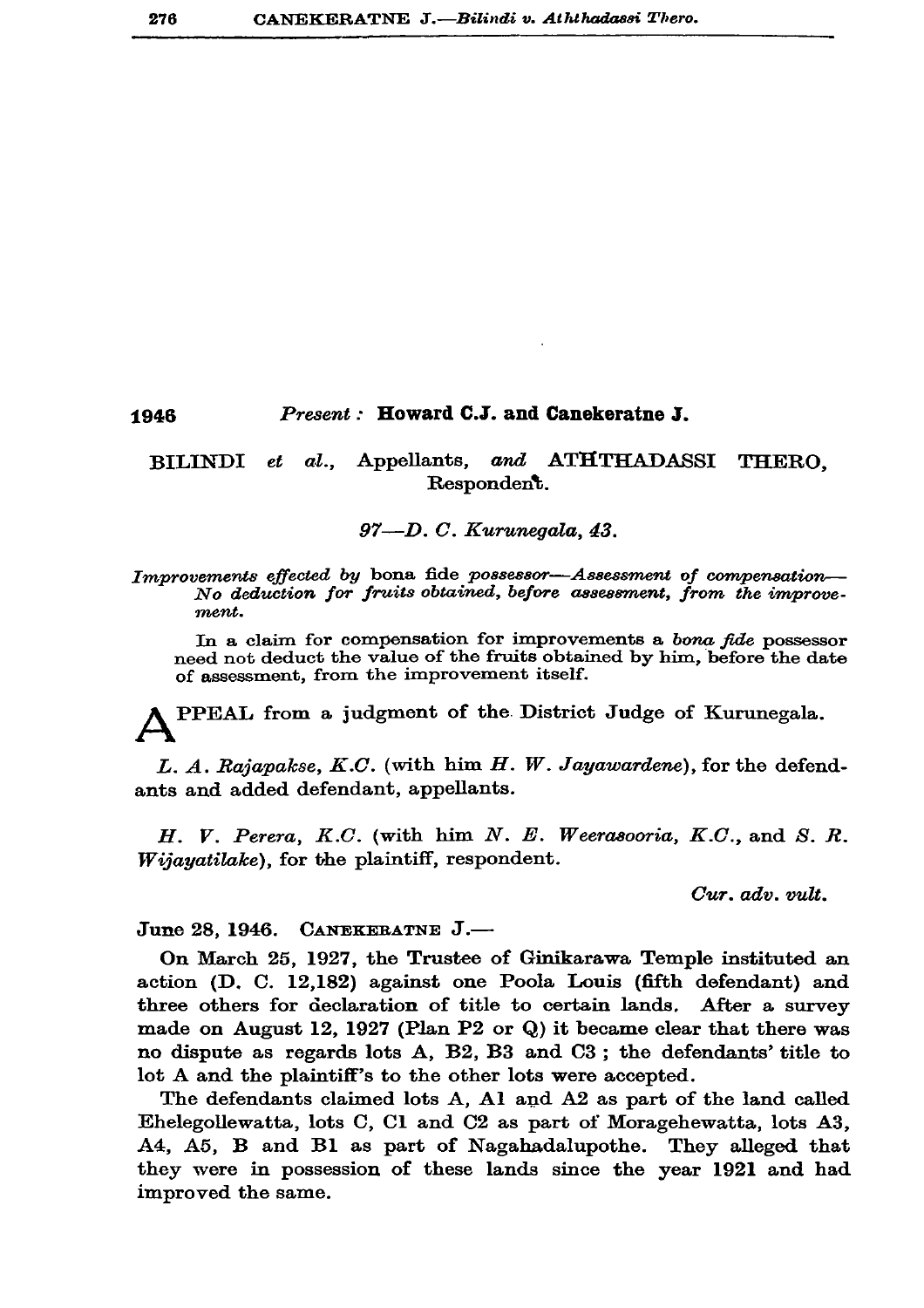## Present: Howard C.J. and Canekeratne J. 1946

## BILINDI et al., Appellants, and ATHTHADASSI THERO. Respondent.

## 97-D.C. Kurunegala, 43.

Improvements effected by bona fide possessor-Assessment of compensation-No deduction for fruits obtained, before assessment, from the improvement.

In a claim for compensation for improvements a bona fide possessor need not deduct the value of the fruits obtained by him, before the date of assessment, from the improvement itself.

PPEAL from a judgment of the District Judge of Kurunegala.

L. A. Rajapakse, K.C. (with him H. W. Jayawardene), for the defendants and added defendant, appellants.

H. V. Perera, K.C. (with him  $N$ . E. Weerasooria, K.C., and S. R. Wijayatilake), for the plaintiff, respondent.

 $Cur.$   $adv.$   $vult.$ 

June 28, 1946. CANEKERATNE J.-

On March 25, 1927, the Trustee of Ginikarawa Temple instituted an action (D. C. 12,182) against one Poola Louis (fifth defendant) and three others for declaration of title to certain lands. After a survey made on August 12, 1927 (Plan P2 or Q) it became clear that there was no dispute as regards lots A, B2, B3 and C3; the defendants' title to lot A and the plaintiff's to the other lots were accepted.

The defendants claimed lots A, Al and A2 as part of the land called Ehelegollewatta, lots C, Cl and C2 as part of Moragehewatta, lots A3, A4, A5, B and B1 as part of Nagahadalupothe. They alleged that they were in possession of these lands since the year 1921 and had improved the same.

276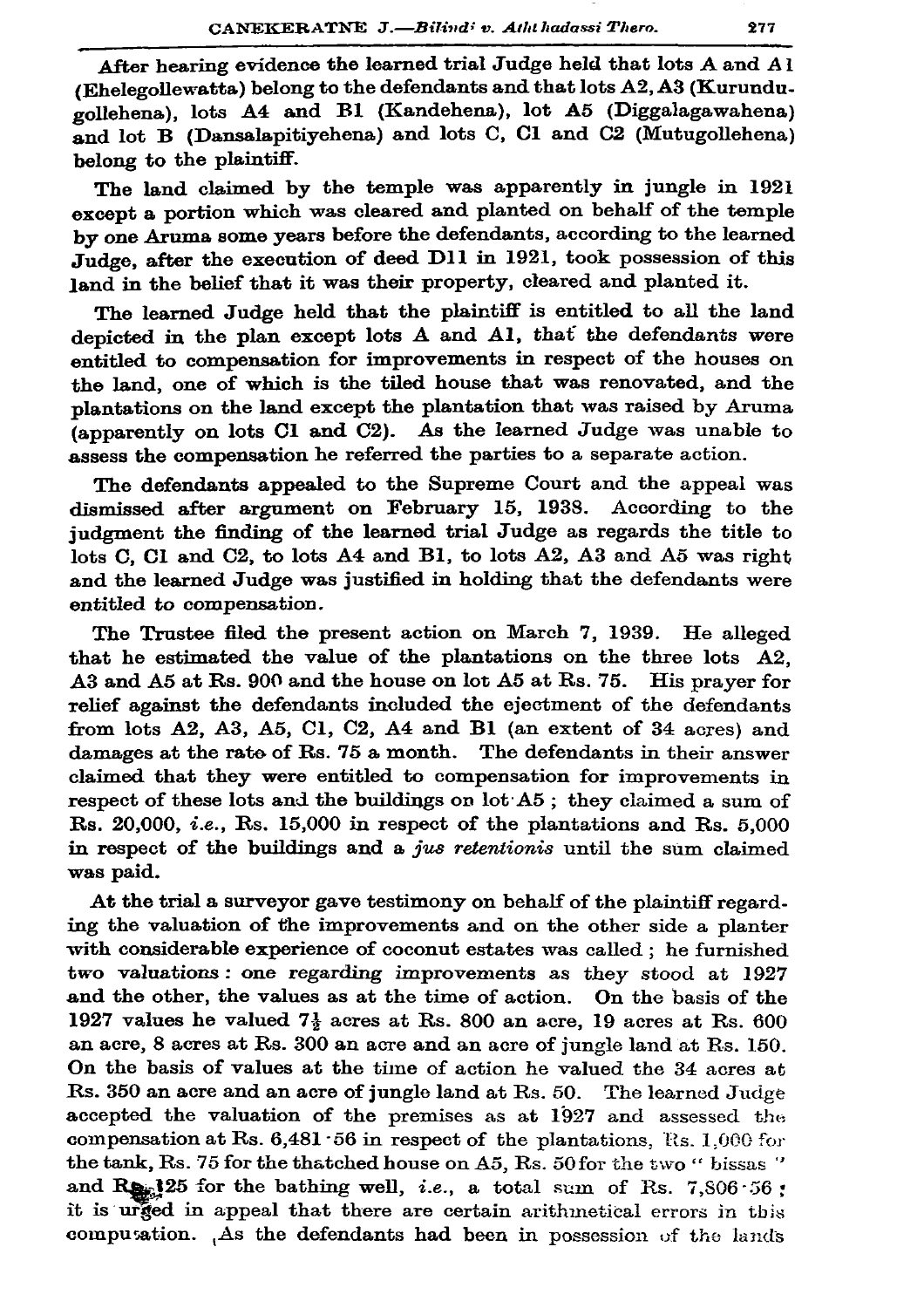After hearing evidence the learned trial Judge held that lots A and Al (Ehelegollewatta) belong to the defendants and that lots A2, A3 (Kurundugollehena), lots A4 and B1 (Kandehena), lot A5 (Diggalagawahena) and lot B (Dansalapitiyehena) and lots C, Cl and C2 (Mutugollehena) belong to the plaintiff.

The land claimed by the temple was apparently in jungle in 1921 except a portion which was cleared and planted on behalf of the temple by one Aruma some years before the defendants, according to the learned Judge, after the execution of deed D11 in 1921, took possession of this land in the belief that it was their property, cleared and planted it.

The learned Judge held that the plaintiff is entitled to all the land depicted in the plan except lots A and Al, that the defendants were entitled to compensation for improvements in respect of the houses on the land, one of which is the tiled house that was renovated, and the plantations on the land except the plantation that was raised by Aruma (apparently on lots Cl and C2). As the learned Judge was unable to assess the compensation he referred the parties to a separate action.

The defendants appealed to the Supreme Court and the appeal was dismissed after argument on February 15, 1938. According to the judgment the finding of the learned trial Judge as regards the title to lots C. Cl and C2, to lots A4 and B1, to lots A2, A3 and A5 was right and the learned Judge was justified in holding that the defendants were entitled to compensation.

The Trustee filed the present action on March 7, 1939. He alleged that he estimated the value of the plantations on the three lots A2, A3 and A5 at Rs. 900 and the house on lot A5 at Rs. 75. His prayer for relief against the defendants included the ejectment of the defendants from lots A2, A3, A5, C1, C2, A4 and B1 (an extent of 34 acres) and damages at the rate of Rs. 75 a month. The defendants in their answer claimed that they were entitled to compensation for improvements in respect of these lots and the buildings on lot A5; they claimed a sum of Rs. 20,000, *i.e.*, Rs. 15,000 in respect of the plantations and Rs. 5,000 in respect of the buildings and a jus retentionis until the sum claimed was paid.

At the trial a surveyor gave testimony on behalf of the plaintiff regarding the valuation of the improvements and on the other side a planter with considerable experience of coconut estates was called; he furnished two valuations: one regarding improvements as they stood at 1927 and the other, the values as at the time of action. On the basis of the 1927 values he valued  $7\frac{1}{2}$  acres at Rs. 800 an acre, 19 acres at Rs. 600 an acre, 8 acres at Rs. 300 an acre and an acre of jungle land at Rs. 150. On the basis of values at the time of action he valued the 34 acres at Rs. 350 an acre and an acre of jungle land at Rs. 50. The learned Judge accepted the valuation of the premises as at 1927 and assessed the compensation at Rs.  $6,481 \cdot 56$  in respect of the plantations, Rs. 1,000 for the tank, Rs. 75 for the thatched house on A5, Rs. 50 for the two " bissas " and Res. 125 for the bathing well, *i.e.*, a total sum of Rs. 7,806.56; it is urged in appeal that there are certain arithmetical errors in this computation. As the defendants had been in possession of the lands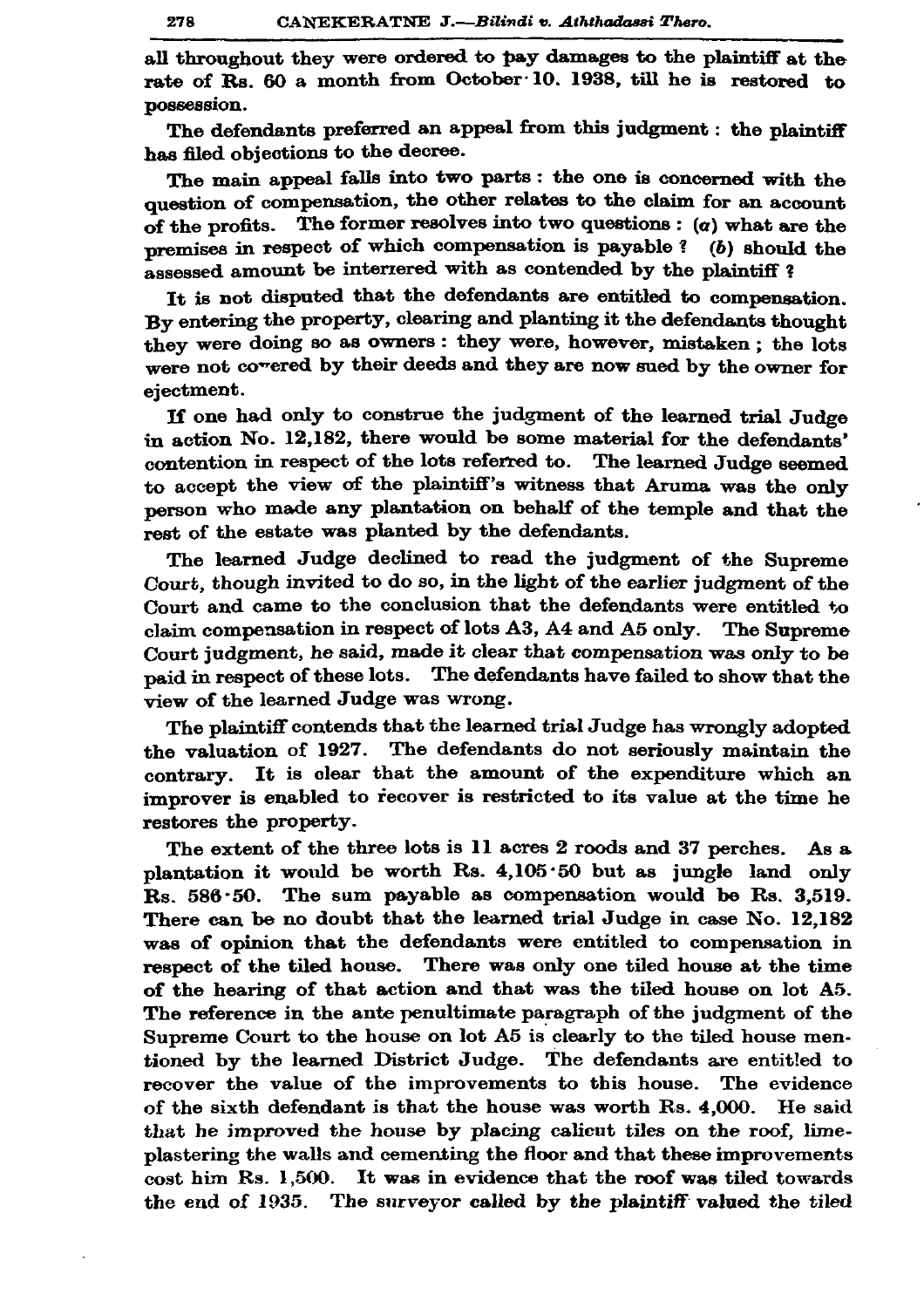all throughout they were ordered to pay damages to the plaintiff at the rate of Rs. 60 a month from October 10, 1938, till he is restored to possession.

The defendants preferred an appeal from this judgment : the plaintiff has filed objections to the decree.

The main appeal falls into two parts: the one is concerned with the question of compensation, the other relates to the claim for an account of the profits. The former resolves into two questions :  $(a)$  what are the memises in respect of which compensation is payable? ( $b$ ) should the assessed amount be interrered with as contended by the plaintiff?

It is not disputed that the defendants are entitled to compensation. By entering the property, clearing and planting it the defendants thought they were doing so as owners: they were, however, mistaken: the lots were not covered by their deeds and they are now sued by the owner for ejectment.

If one had only to construe the judgment of the learned trial Judge in action No. 12,182, there would be some material for the defendants' contention in respect of the lots referred to. The learned Judge seemed to accept the view of the plaintiff's witness that Aruma was the only person who made any plantation on behalf of the temple and that the rest of the estate was planted by the defendants.

The learned Judge declined to read the judgment of the Supreme Court, though invited to do so, in the light of the earlier judgment of the Court and came to the conclusion that the defendants were entitled to claim compensation in respect of lots A3, A4 and A5 only. The Supreme Court judgment, he said, made it clear that compensation was only to be paid in respect of these lots. The defendants have failed to show that the view of the learned Judge was wrong.

The plaintiff contends that the learned trial Judge has wrongly adopted the valuation of 1927. The defendants do not seriously maintain the contrary. It is clear that the amount of the expenditure which an improver is enabled to recover is restricted to its value at the time he restores the property.

The extent of the three lots is 11 acres 2 roods and 37 perches. As a plantation it would be worth Rs. 4,105.50 but as jungle land only  $Rs. 586.50.$  The sum payable as compensation would be Rs. 3,519. There can be no doubt that the learned trial Judge in case No. 12.182 was of opinion that the defendants were entitled to compensation in respect of the tiled house. There was only one tiled house at the time of the hearing of that action and that was the tiled house on lot A5. The reference in the ante penultimate paragraph of the judgment of the Supreme Court to the house on lot A5 is clearly to the tiled house mentioned by the learned District Judge. The defendants are entitled to recover the value of the improvements to this house. The evidence of the sixth defendant is that the house was worth Rs. 4,000. He said that he improved the house by placing calicut tiles on the roof, limeplastering the walls and cementing the floor and that these improvements cost him Rs. 1,500. It was in evidence that the roof was tiled towards the end of 1935. The surveyor called by the plaintiff valued the tiled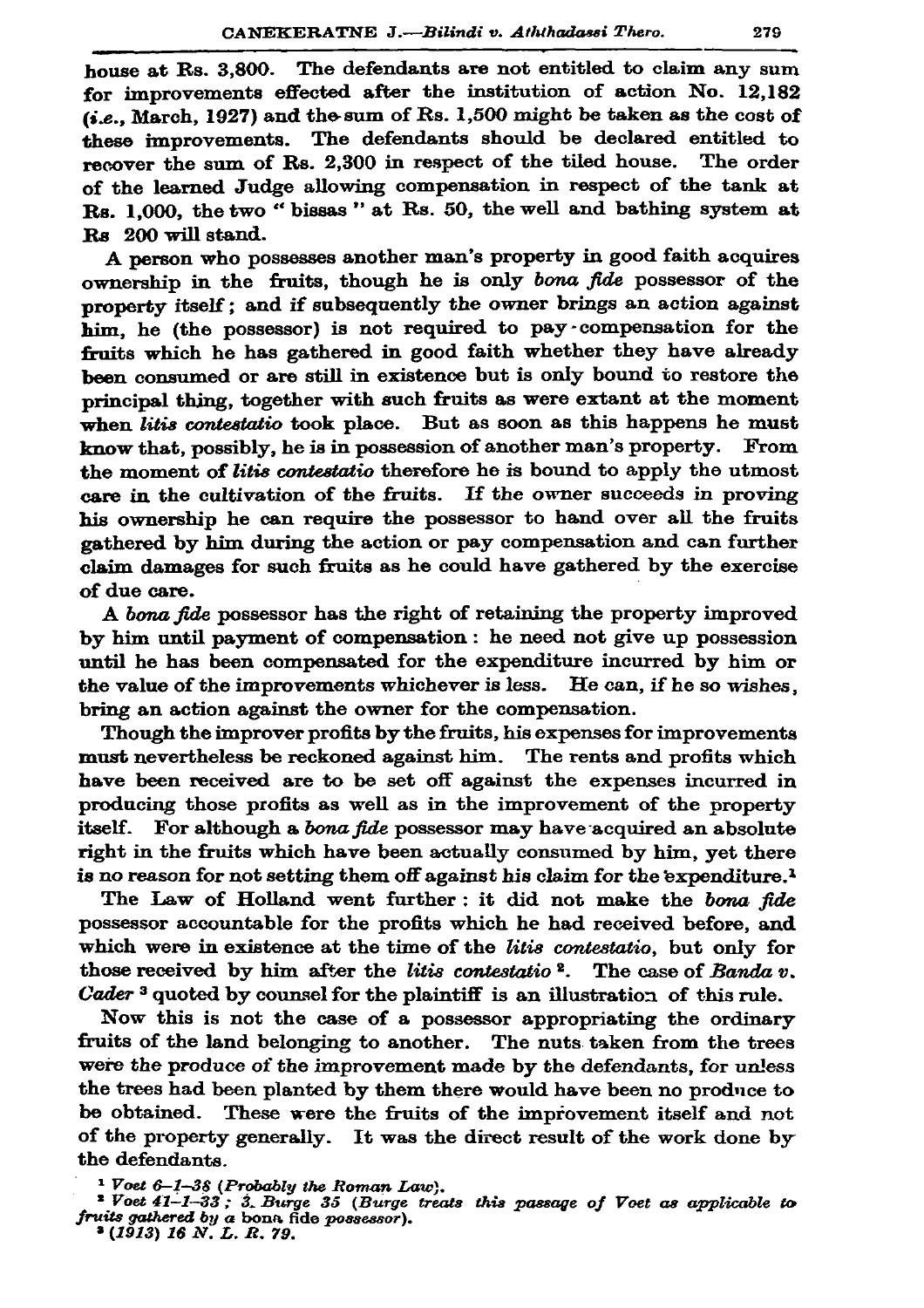house at Rs. 3,800. The defendants are not entitled to claim any sum for improvements effected after the institution of action No. 12.182 (i.e., March, 1927) and the sum of Rs. 1,500 might be taken as the cost of these improvements. The defendants should be declared entitled to recover the sum of Rs. 2,300 in respect of the tiled house. The order of the learned Judge allowing compensation in respect of the tank at Rs. 1,000, the two " bissas " at Rs. 50, the well and bathing system at Rs 200 will stand.

A person who possesses another man's property in good faith acquires ownership in the fruits, though he is only bona fide possessor of the property itself; and if subsequently the owner brings an action against him, he (the possessor) is not required to pay compensation for the fruits which he has gathered in good faith whether they have already been consumed or are still in existence but is only bound to restore the principal thing, together with such fruits as were extant at the moment when litis contestatio took place. But as soon as this happens he must know that, possibly, he is in possession of another man's property. From the moment of litis contestatio therefore he is bound to apply the utmost care in the cultivation of the fruits. If the owner succeeds in proving his ownership he can require the possessor to hand over all the fruits gathered by him during the action or pay compensation and can further claim damages for such fruits as he could have gathered by the exercise of due care.

A bona fide possessor has the right of retaining the property improved by him until payment of compensation : he need not give up possession until he has been compensated for the expenditure incurred by him or the value of the improvements whichever is less. He can, if he so wishes, bring an action against the owner for the compensation.

Though the improver profits by the fruits, his expenses for improvements must nevertheless be reckoned against him. The rents and profits which have been received are to be set off against the expenses incurred in producing those profits as well as in the improvement of the property itself. For although a bona fide possessor may have acquired an absolute right in the fruits which have been actually consumed by him, yet there is no reason for not setting them off against his claim for the expenditure.<sup>1</sup>

The Law of Holland went further: it did not make the bona fide possessor accountable for the profits which he had received before, and which were in existence at the time of the litis contestatio, but only for those received by him after the litis contestatio<sup>2</sup>. The case of Banda  $v$ . Cader<sup>3</sup> quoted by counsel for the plaintiff is an illustration of this rule.

Now this is not the case of a possessor appropriating the ordinary fruits of the land belonging to another. The nuts taken from the trees were the produce of the improvement made by the defendants, for unless the trees had been planted by them there would have been no produce to be obtained. These were the fruits of the improvement itself and not of the property generally. It was the direct result of the work done by the defendants.

<sup>&</sup>lt;sup>1</sup> Voet 6-1-38 (Probably the Roman Law).<br><sup>2</sup> Voet 41-1-33 ; 3. Burge 35 (Burge treats this passage of Voet as applicable to fruits gathered by a bonn fide possessor).

<sup>&</sup>lt;sup>3</sup> (1913) 16 N. L. R. 79.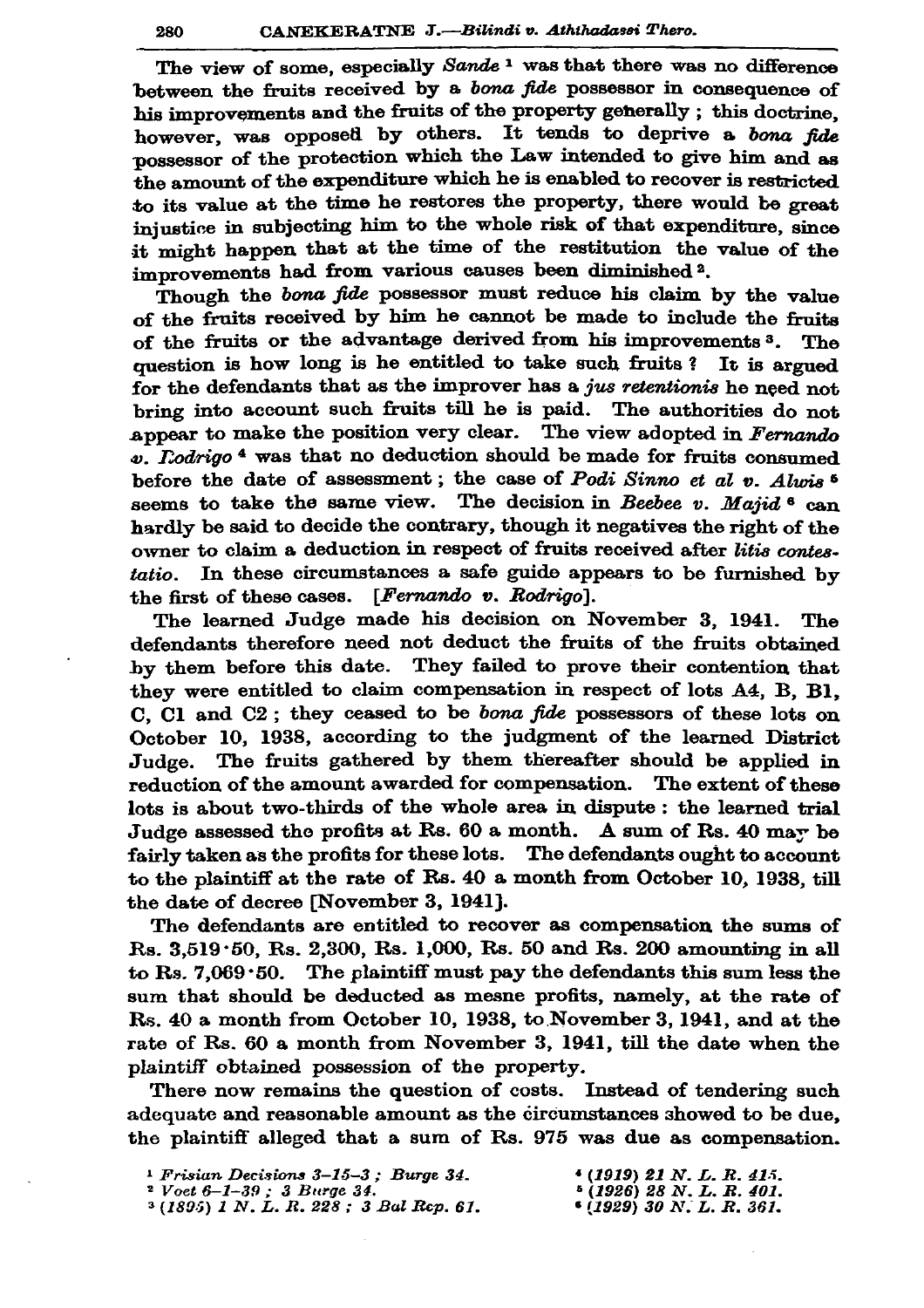The view of some, especially Sande<sup>1</sup> was that there was no difference between the fruits received by a *bona fide* possessor in consequence of his improvements and the fruits of the property generally; this doctrine. however, was opposed by others. It tends to deprive a bona fide possessor of the protection which the Law intended to give him and as the amount of the expenditure which he is enabled to recover is restricted to its value at the time he restores the property, there would be great injustice in subjecting him to the whole risk of that expenditure. since it might happen that at the time of the restitution the value of the improvements had from various causes been diminished<sup>2</sup>.

Though the bona fide possessor must reduce his claim by the value of the fruits received by him he cannot be made to include the fruits of the fruits or the advantage derived from his improvements<sup>3</sup>. The question is how long is he entitled to take such fruits? It is argued for the defendants that as the improver has a jus retentionis he need not bring into account such fruits till he is paid. The authorities do not appear to make the position very clear. The view adopted in Fernando  $\varphi$ . *Todrigo*<sup>4</sup> was that no deduction should be made for fruits consumed before the date of assessment; the case of Podi Sinno et al  $v$ . Alwis<sup>5</sup> seems to take the same view. The decision in Beebee v. Majid  $6 \text{ can}$ hardly be said to decide the contrary, though it negatives the right of the owner to claim a deduction in respect of fruits received after litis contes-In these circumstances a safe guide appears to be furnished by tatio. the first of these cases.  $[Fernando v. Rodriguez].$ 

The learned Judge made his decision on November 3, 1941. The defendants therefore need not deduct the fruits of the fruits obtained by them before this date. They failed to prove their contention that they were entitled to claim compensation in respect of lots A4, B, B1, C. Cl and  $C2$ ; they ceased to be *bona fide* possessors of these lots on October 10, 1938, according to the judgment of the learned District Judge. The fruits gathered by them thereafter should be applied in reduction of the amount awarded for compensation. The extent of these lots is about two-thirds of the whole area in dispute: the learned trial Judge assessed the profits at Rs. 60 a month. A sum of Rs. 40 may be fairly taken as the profits for these lots. The defendants ought to account to the plaintiff at the rate of Rs. 40 a month from October 10, 1938, till the date of decree [November 3, 1941].

The defendants are entitled to recover as compensation the sums of Rs. 3,519.50, Rs. 2,300, Rs. 1,000, Rs. 50 and Rs. 200 amounting in all to Rs.  $7,069 \cdot 50$ . The plaintiff must pay the defendants this sum less the sum that should be deducted as mesne profits, namely, at the rate of Rs. 40 a month from October 10, 1938, to November 3, 1941, and at the rate of Rs. 60 a month from November 3, 1941, till the date when the plaintiff obtained possession of the property.

There now remains the question of costs. Instead of tendering such adequate and reasonable amount as the circumstances showed to be due, the plaintiff alleged that a sum of Rs. 975 was due as compensation.

| <sup>1</sup> Frisian Decisions $3-15-3$ : Burge 34. | $(1919)$ 21 N. L. R. 415. |
|-----------------------------------------------------|---------------------------|
| <sup>2</sup> Voet 6–1–39 : 3 Burge 34.              | $(1926)$ 28 N.L.R.401.    |
| $(1895)$ 1 N.L.R. 228; 3 Bal Rep. 61.               | $(1929)$ 30 N, L, R, 361, |